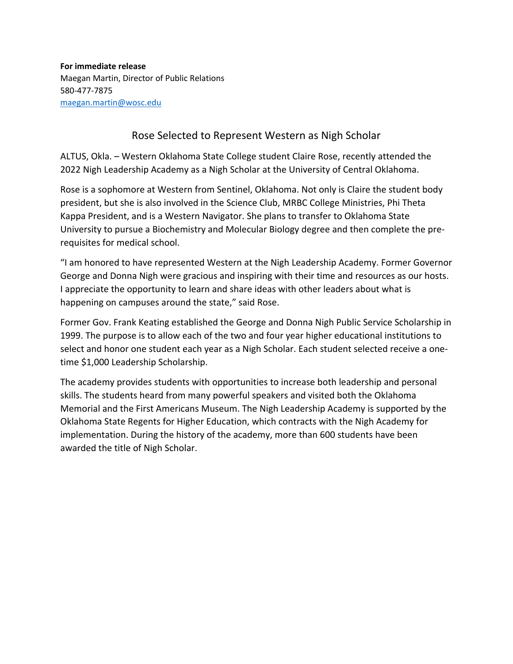**For immediate release** Maegan Martin, Director of Public Relations 580-477-7875 [maegan.martin@wosc.edu](mailto:maegan.martin@wosc.edu)

## Rose Selected to Represent Western as Nigh Scholar

ALTUS, Okla. – Western Oklahoma State College student Claire Rose, recently attended the 2022 Nigh Leadership Academy as a Nigh Scholar at the University of Central Oklahoma.

Rose is a sophomore at Western from Sentinel, Oklahoma. Not only is Claire the student body president, but she is also involved in the Science Club, MRBC College Ministries, Phi Theta Kappa President, and is a Western Navigator. She plans to transfer to Oklahoma State University to pursue a Biochemistry and Molecular Biology degree and then complete the prerequisites for medical school.

"I am honored to have represented Western at the Nigh Leadership Academy. Former Governor George and Donna Nigh were gracious and inspiring with their time and resources as our hosts. I appreciate the opportunity to learn and share ideas with other leaders about what is happening on campuses around the state," said Rose.

Former Gov. Frank Keating established the George and Donna Nigh Public Service Scholarship in 1999. The purpose is to allow each of the two and four year higher educational institutions to select and honor one student each year as a Nigh Scholar. Each student selected receive a onetime \$1,000 Leadership Scholarship.

The academy provides students with opportunities to increase both leadership and personal skills. The students heard from many powerful speakers and visited both the Oklahoma Memorial and the First Americans Museum. The Nigh Leadership Academy is supported by the Oklahoma State Regents for Higher Education, which contracts with the Nigh Academy for implementation. During the history of the academy, more than 600 students have been awarded the title of Nigh Scholar.